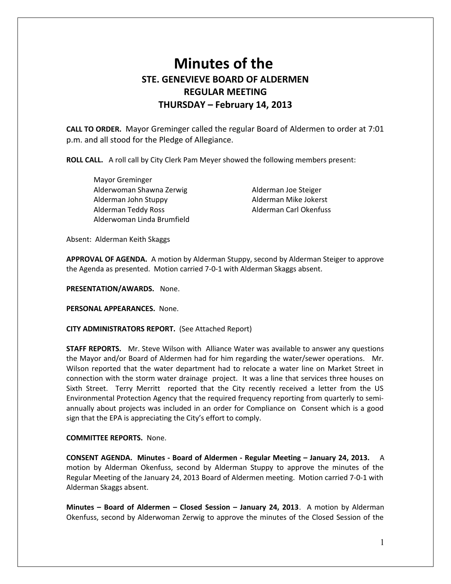## **Minutes of the STE. GENEVIEVE BOARD OF ALDERMEN REGULAR MEETING THURSDAY – February 14, 2013**

**CALL TO ORDER.** Mayor Greminger called the regular Board of Aldermen to order at 7:01 p.m. and all stood for the Pledge of Allegiance.

**ROLL CALL.** A roll call by City Clerk Pam Meyer showed the following members present:

 Mayor Greminger Alderwoman Shawna Zerwig **Alderman Joe Steiger**  Alderman John Stuppy Alderman Mike Jokerst Alderman Teddy Ross Alderman Carl Okenfuss Alderwoman Linda Brumfield

Absent: Alderman Keith Skaggs

**APPROVAL OF AGENDA.** A motion by Alderman Stuppy, second by Alderman Steiger to approve the Agenda as presented. Motion carried 7-0-1 with Alderman Skaggs absent.

**PRESENTATION/AWARDS.** None.

**PERSONAL APPEARANCES.** None.

**CITY ADMINISTRATORS REPORT.** (See Attached Report)

**STAFF REPORTS.** Mr. Steve Wilson with Alliance Water was available to answer any questions the Mayor and/or Board of Aldermen had for him regarding the water/sewer operations. Mr. Wilson reported that the water department had to relocate a water line on Market Street in connection with the storm water drainage project. It was a line that services three houses on Sixth Street. Terry Merritt reported that the City recently received a letter from the US Environmental Protection Agency that the required frequency reporting from quarterly to semiannually about projects was included in an order for Compliance on Consent which is a good sign that the EPA is appreciating the City's effort to comply.

**COMMITTEE REPORTS.** None.

**CONSENT AGENDA. Minutes - Board of Aldermen - Regular Meeting – January 24, 2013.** A motion by Alderman Okenfuss, second by Alderman Stuppy to approve the minutes of the Regular Meeting of the January 24, 2013 Board of Aldermen meeting. Motion carried 7-0-1 with Alderman Skaggs absent.

**Minutes – Board of Aldermen – Closed Session – January 24, 2013**. A motion by Alderman Okenfuss, second by Alderwoman Zerwig to approve the minutes of the Closed Session of the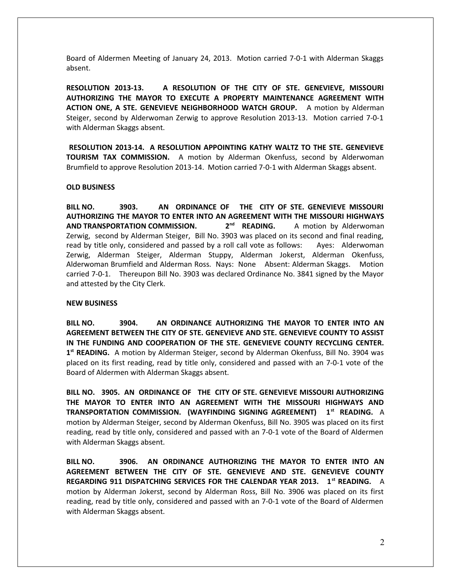Board of Aldermen Meeting of January 24, 2013. Motion carried 7-0-1 with Alderman Skaggs absent.

**RESOLUTION 2013-13. A RESOLUTION OF THE CITY OF STE. GENEVIEVE, MISSOURI AUTHORIZING THE MAYOR TO EXECUTE A PROPERTY MAINTENANCE AGREEMENT WITH ACTION ONE, A STE. GENEVIEVE NEIGHBORHOOD WATCH GROUP.** A motion by Alderman Steiger, second by Alderwoman Zerwig to approve Resolution 2013-13. Motion carried 7-0-1 with Alderman Skaggs absent.

 **RESOLUTION 2013-14. A RESOLUTION APPOINTING KATHY WALTZ TO THE STE. GENEVIEVE TOURISM TAX COMMISSION.** A motion by Alderman Okenfuss, second by Alderwoman Brumfield to approve Resolution 2013-14. Motion carried 7-0-1 with Alderman Skaggs absent.

## **OLD BUSINESS**

**BILL NO. 3903. AN ORDINANCE OF THE CITY OF STE. GENEVIEVE MISSOURI AUTHORIZING THE MAYOR TO ENTER INTO AN AGREEMENT WITH THE MISSOURI HIGHWAYS** AND TRANSPORTATION COMMISSION. 2<sup>nd</sup> READING. A motion by Alderwoman Zerwig, second by Alderman Steiger, Bill No. 3903 was placed on its second and final reading, read by title only, considered and passed by a roll call vote as follows: Ayes: Alderwoman Zerwig, Alderman Steiger, Alderman Stuppy, Alderman Jokerst, Alderman Okenfuss, Alderwoman Brumfield and Alderman Ross. Nays: None Absent: Alderman Skaggs. Motion carried 7-0-1. Thereupon Bill No. 3903 was declared Ordinance No. 3841 signed by the Mayor and attested by the City Clerk.

## **NEW BUSINESS**

**BILL NO. 3904. AN ORDINANCE AUTHORIZING THE MAYOR TO ENTER INTO AN AGREEMENT BETWEEN THE CITY OF STE. GENEVIEVE AND STE. GENEVIEVE COUNTY TO ASSIST IN THE FUNDING AND COOPERATION OF THE STE. GENEVIEVE COUNTY RECYCLING CENTER. 1 st READING.** A motion by Alderman Steiger, second by Alderman Okenfuss, Bill No. 3904 was placed on its first reading, read by title only, considered and passed with an 7-0-1 vote of the Board of Aldermen with Alderman Skaggs absent.

**BILL NO. 3905. AN ORDINANCE OF THE CITY OF STE. GENEVIEVE MISSOURI AUTHORIZING THE MAYOR TO ENTER INTO AN AGREEMENT WITH THE MISSOURI HIGHWAYS AND TRANSPORTATION COMMISSION. (WAYFINDING SIGNING AGREEMENT) 1st READING.** A motion by Alderman Steiger, second by Alderman Okenfuss, Bill No. 3905 was placed on its first reading, read by title only, considered and passed with an 7-0-1 vote of the Board of Aldermen with Alderman Skaggs absent.

**BILL NO. 3906. AN ORDINANCE AUTHORIZING THE MAYOR TO ENTER INTO AN AGREEMENT BETWEEN THE CITY OF STE. GENEVIEVE AND STE. GENEVIEVE COUNTY REGARDING 911 DISPATCHING SERVICES FOR THE CALENDAR YEAR 2013. 1st READING.** A motion by Alderman Jokerst, second by Alderman Ross, Bill No. 3906 was placed on its first reading, read by title only, considered and passed with an 7-0-1 vote of the Board of Aldermen with Alderman Skaggs absent.